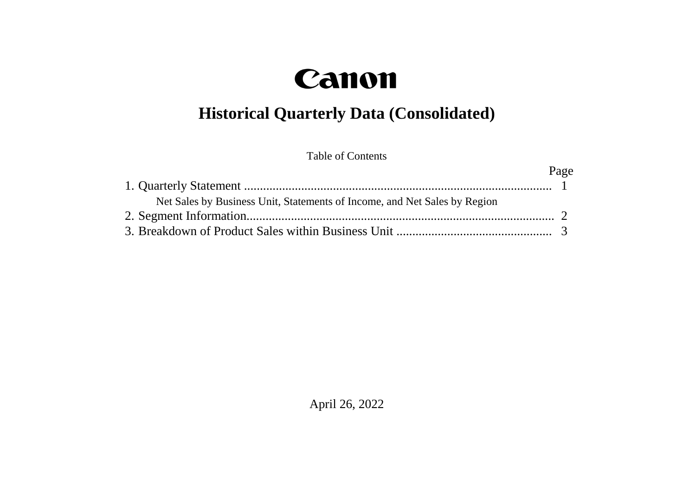# Canon

## **Historical Quarterly Data (Consolidated)**

Table of Contents

|                                                                           | Page |
|---------------------------------------------------------------------------|------|
|                                                                           |      |
| Net Sales by Business Unit, Statements of Income, and Net Sales by Region |      |
|                                                                           |      |
|                                                                           |      |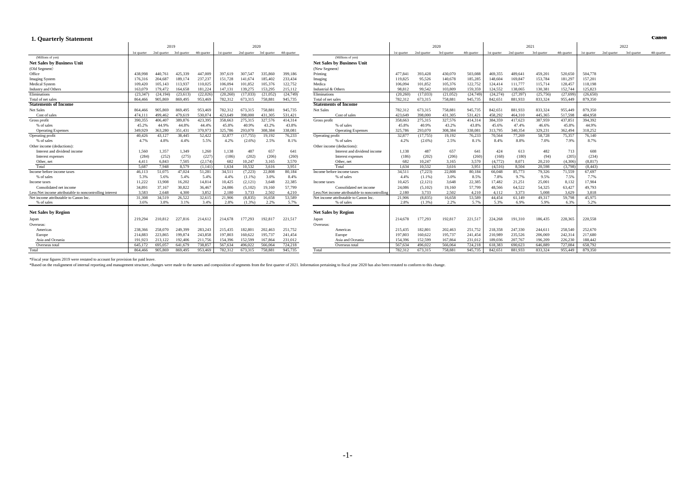#### **1. Quarterly Statement**

| <b>1. Quarterly Statement</b>                           |          |                                                 |           |          |          |                                                 |          |          |                                                |             |             |             |             |             |             |             |             |             |             |             | санон       |
|---------------------------------------------------------|----------|-------------------------------------------------|-----------|----------|----------|-------------------------------------------------|----------|----------|------------------------------------------------|-------------|-------------|-------------|-------------|-------------|-------------|-------------|-------------|-------------|-------------|-------------|-------------|
|                                                         | 2019     |                                                 |           |          |          | 2020                                            |          |          |                                                |             |             | 2020        |             |             |             | 2021        | 2022        |             |             |             |             |
|                                                         |          | 1st quarter 2nd quarter 3rd quarter 4th quarter |           |          |          | 1st quarter 2nd quarter 3rd quarter 4th quarter |          |          |                                                | 1st quarter | 2nd quarter | 3rd quarter | 4th quarter | 1st quarter | 2nd quarter | 3rd quarter | 4th quarter | 1st quarter | 2nd quarter | 3rd quarter | 4th quarter |
| (Millions of ven)                                       |          |                                                 |           |          |          |                                                 |          |          | (Millions of ven)                              |             |             |             |             |             |             |             |             |             |             |             |             |
| <b>Net Sales by Business Unit</b>                       |          |                                                 |           |          |          |                                                 |          |          | <b>Net Sales by Business Unit</b>              |             |             |             |             |             |             |             |             |             |             |             |             |
| (Old Segment)                                           |          |                                                 |           |          |          |                                                 |          |          | (New Segment)                                  |             |             |             |             |             |             |             |             |             |             |             |             |
| Office                                                  | 438.998  | 440.761                                         | 425.339   | 447,009  | 397.619  | 307,547                                         | 335.860  | 399,186  | Printing                                       | 477.841     | 393.428     | 430,070     | 503,088     | 469.355     | 489,641     | 459.201     | 520,650     | 504,778     |             |             |             |
| <b>Imaging System</b>                                   | 176,316  | 204.687                                         | 189,174   | 237,237  | 151,728  | 141,674                                         | 185.402  | 233,434  | Imaging                                        | 119,825     | 95.526      | 140,678     | 185,285     | 148,604     | 169,847     | 153,784     | 181.297     | 157.201     |             |             |             |
| Medical System                                          | 109,420  | 105.143                                         | 113,937   | 110.025  | 106,094  | 101.852                                         | 105,376  | 122,752  | Medica                                         | 106,094     | 101.852     | 105,376     | 122,752     | 124.414     | 111,777     | 115,714     | 128.457     | 118,198     |             |             |             |
| <b>Industry and Others</b>                              | 163.079  | 179,472                                         | 164,658   | 181,224  | 147.131  | 139,275                                         | 153,295  | 215,112  | Industrial & Others                            | 98.812      | 99.542      | 103.809     | 159.359     | 124.552     | 138,065     | 130.381     | 152,744     | 125.823     |             |             |             |
| Eliminations                                            | (23.347) | (24, 194)                                       | (23, 613) | (22,026) | (20.260) | (17,033)                                        | (21,052) | (24.749) | Eliminations                                   | (20, 260)   | (17,033)    | (21,052)    | (24.749)    | (24, 274)   | (27, 397)   | (25,756)    | (27, 699)   | (26.650)    |             |             |             |
| Total of net sales                                      | 864.466  | 905.869                                         | 869,495   | 953.469  | 782,312  | 673,315                                         | 758.881  | 945,735  | Total of net sales                             | 782,312     | 673.315     | 758.881     | 945,735     | 842,651     | 881,933     | 833.324     | 955,449     | 879,350     |             |             |             |
| <b>Statements of Income</b>                             |          |                                                 |           |          |          |                                                 |          |          | <b>Statements of Income</b>                    |             |             |             |             |             |             |             |             |             |             |             |             |
| Net Sales                                               | 864.466  | 905.869                                         | 869.495   | 953,469  | 782.312  | 673.315                                         | 758.88   | 945,735  | Net Sales                                      | 782,312     | 673.315     | 758.881     | 945,735     | 842,651     | 881,933     | 833,324     | 955,44      | 879,350     |             |             |             |
| Cost of sales                                           | 474.11   | 499.462                                         | 479,619   | 530,074  | 423.649  | 398,000                                         | 431.305  | 531,421  | Cost of sales                                  | 423.649     | 398,000     | 431.305     | 531,42      | 458,292     | 464,310     | 445,365     | 517,598     | 484,958     |             |             |             |
| Gross profit                                            | 390,355  | 406.407                                         | 389,876   | 423,395  | 358,663  | 275,315                                         | 327,576  | 414.314  | Gross profit                                   | 358,663     | 275,315     | 327,576     | 414,314     | 384,359     | 417,623     | 387,959     | 437,851     | 394,392     |             |             |             |
| % of sales                                              | 45.2%    | 44.9%                                           | 44.8%     | 44.4%    | 45.8%    | 40.9%                                           | 43.2%    | 43.8%    | % of sales                                     | 45.8%       | 40.9%       | 43.2%       | 43.8%       | 45.6%       | 47.4%       | 46.6%       | 45.8%       | 44.9%       |             |             |             |
| <b>Operating Expenses</b>                               | 349.929  | 363,280                                         | 351.431   | 370,973  | 325,786  | 293.070                                         | 308,384  | 338,081  | <b>Operating Expenses</b>                      | 325,786     | 293,070     | 308.384     | 338.08      | 313,795     | 340,354     | 329.231     | 362,494     | 318.252     |             |             |             |
| Operating profit                                        | 40.426   | 43,127                                          | 38.445    | 52,422   | 32,877   | (17,755)                                        | 19.192   | 76,233   | Operating profit                               | 32,877      | (17, 755)   | 19,192      | 76,233      | 70.564      | 77.269      | 58,728      | 75,357      | 76.140      |             |             |             |
| % of sales                                              | 4.7%     | 4.8%                                            | 4.4%      | 5.5%     | 4.2%     | (2.6%)                                          | 2.5%     | 8.1%     | % of sales                                     | 4.2%        | $(2.6\%)$   | 2.5%        | 8.1%        | 8.4%        | 8.8%        | 7.0%        | 7.9%        | 8.7%        |             |             |             |
| Other income (deductions):                              |          |                                                 |           |          |          |                                                 |          |          | Other income (deductions)                      |             |             |             |             |             |             |             |             |             |             |             |             |
| Interest and dividend income                            | 1,560    | 1,357                                           | 1,349     | 1,260    | 1,138    | 487                                             | 657      | 641      | Interest and dividend income                   | 1.138       | 487         | 657         | 641         | 424         | 613         | 482         | 713         | 608         |             |             |             |
| Interest expenses                                       | (284)    | (252)                                           | (275)     | (227)    | (186)    | (202)                                           | (206)    | (260)    | Interest expenses                              | (186)       | (202)       | (206)       | (260)       | (168)       | (180)       | (94)        | (205)       | (234)       |             |             |             |
| Other, net                                              | 4.411    | 6.843                                           | 7.505     | (2,174)  | 682      | 10.247                                          | 3.165    | 3.570    | Other, net                                     | 682         | 10.247      | 3.165       | 3.570       | (4.772)     | 8.071       | 20.210      | (4.306)     | (8.817)     |             |             |             |
| Total                                                   | 5.687    | 7.948                                           | 8.579     | (1.141)  | 1.634    | 10.532                                          | 3.616    | 3.951    | Total                                          | 1.634       | 10.532      | 3.616       | 3.951       | (4.516)     | 8.504       | 20.598      | (3.798)     | (8, 443)    |             |             |             |
| Income before income taxes                              | 46.113   | 51,075                                          | 47,024    | 51,281   | 34.511   | (7,223)                                         | 22,808   | 80,184   | Income before income taxes                     | 34.511      | (7,223)     | 22,808      | 80,184      | 66,048      | 85,773      | 79,326      | 71,559      | 67.697      |             |             |             |
| % of sales                                              | 5.3%     | 5.6%                                            | 5.4%      | 5.4%     | 4.4%     | $(1.1\%)$                                       | 3.0%     | 8.4%     | % of sales                                     | 4.4%        | $(1.1\%)$   | 3.0%        | 8.5%        | 7.8%        | 9.7%        | 9.5%        | 7.5%        | 7.7%        |             |             |             |
| Income taxes                                            | 11,222   | 13,908                                          | 16.202    | 14.814   | 10.425   | (2,121)                                         | 3.648    | 22.385   | Income taxes                                   | 10.425      | (2,121)     | 3.648       | 22,385      | 17,482      | 21.251      | 25,001      | 8,132       | 17.904      |             |             |             |
| Consolidated net income                                 | 34.891   | 37.167                                          | 30.822    | 36,467   | 24.086   | (5.102)                                         | 19.160   | 57,799   | Consolidated net income                        | 24.086      | (5.102)     | 19.160      | 57,799      | 48.566      | 64.522      | 54.325      | 63,427      | 49.793      |             |             |             |
| Less:Net income attributable to noncontrolling interest | 3.583    | 2.648                                           | 4.300     | 3.852    | 2.180    | 3.733                                           | 2.502    | 4.210    | Less:Net income attributable to noncontrolling | 2.180       | 3.733       | 2.502       | 4.210       | 4.112       | 3.373       | 5.008       | 3.629       | 3.818       |             |             |             |
| Net income attributable to Canon Inc.                   | 31,308   | 34,519                                          | 26,522    | 32,615   | 21.906   | (8,835)                                         | 16.658   | 53,589   | Net income attributable to Canon Inc.          | 21,906      | (8, 835)    | 16,658      | 53.589      | 44,454      | 61,149      | 49,317      | 59,798      | 45,975      |             |             |             |
| % of sales                                              | 3.6%     | 3.8%                                            | 3.1%      | 3.4%     | 2.8%     | (1.3%)                                          | 2.2%     | 5.7%     | % of sales                                     | 2.8%        | (1.3%)      | 2.2%        | 5.7%        | 5.3%        | 6.9%        | 5.9%        | 6.3%        | 5.2%        |             |             |             |
| <b>Net Sales by Region</b>                              |          |                                                 |           |          |          |                                                 |          |          | <b>Net Sales by Region</b>                     |             |             |             |             |             |             |             |             |             |             |             |             |
| Japan                                                   | 219,294  | 210.812                                         | 227,816   | 214,612  | 214,678  | 177.293                                         | 192.817  | 221,517  | Japan                                          | 214,678     | 177.293     | 192,817     | 221,51      | 224,268     | 191.310     | 186,435     | 228,365     | 220,558     |             |             |             |
| Overseas:                                               |          |                                                 |           |          |          |                                                 |          |          | Overseas:                                      |             |             |             |             |             |             |             |             |             |             |             |             |
| Americas                                                | 238,366  | 258,070                                         | 249,399   | 283,243  | 215.435  | 182.801                                         | 202,463  | 251,752  | Americas                                       | 215.435     | 182,801     | 202.463     | 251,752     | 218,358     | 247.330     | 244,611     | 258,540     | 252,670     |             |             |             |
| Europe                                                  | 214,883  | 223,865                                         | 199,874   | 243,858  | 197,803  | 160,622                                         | 195,737  | 241,454  | Europe                                         | 197,803     | 160,622     | 195,737     | 241,454     | 210.989     | 235,526     | 206,069     | 242,314     | 217,680     |             |             |             |
| Asia and Oceania                                        | 191,923  | 213,122                                         | 192,406   | 211,756  | 154,396  | 152,599                                         | 167,864  | 231,012  | Asia and Oceania                               | 154,396     | 152,599     | 167,864     | 231,012     | 189,036     | 207,767     | 196,209     | 226,230     | 188,442     |             |             |             |
| Overseas total                                          | 645.172  | 695,057                                         | 641.679   | 738,857  | 567.634  | 496,022                                         | 566,064  | 724.218  | Overseas total                                 | 567,634     | 496.022     | 566,064     | 724.218     | 618.383     | 690.623     | 646,889     | 727,084     | 658,792     |             |             |             |
| Total                                                   | 864,466  | 905,869                                         | 869,495   | 953,469  | 782,312  | 673,315                                         | 758.881  | 945,735  | Total                                          | 782.312     | 673.315     | 758.881     | 945,735     | 842,651     | 881.933     | 833,324     | 955,449     | 879,350     |             |             |             |
|                                                         |          |                                                 |           |          |          |                                                 |          |          |                                                |             |             |             |             |             |             |             |             |             |             |             |             |

Canon

\*Fiscal year figures 2019 were restated to account for provision for paid leave.

Fasced on the realignment of internal reporting and management structure, changes were made to the names and composition of segments from the first quarter of 2021. Information pertaining to fiscal year 2020 has also been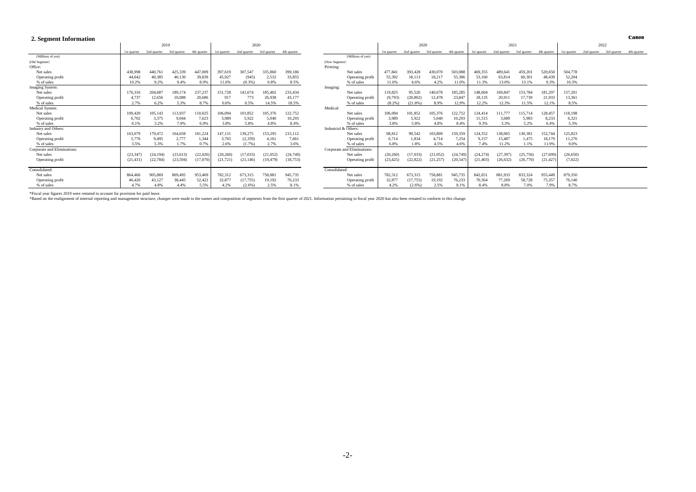#### **2. Segment Information**

|                             |             | 2019        |             |             | 2020        |             |             |             |                      |                             |             | 2020        |             |             |             | 2021        |             |             | 2022        |             |             |             |
|-----------------------------|-------------|-------------|-------------|-------------|-------------|-------------|-------------|-------------|----------------------|-----------------------------|-------------|-------------|-------------|-------------|-------------|-------------|-------------|-------------|-------------|-------------|-------------|-------------|
|                             | 1st quarter | 2nd quarter | 3rd quarter | 4th quarter | 1st quarter | 2nd quarter | 3rd quarter | 4th quarter |                      |                             | 1st quarter | 2nd quarter | 3rd quarter | 4th quarter | 1st quarter | 2nd quarter | 3rd quarter | 4th quarter | 1st quarter | 2nd quarter | 3rd quarter | 4th quarter |
| (Millions of ven)           |             |             |             |             |             |             |             |             |                      | (Millions of ven)           |             |             |             |             |             |             |             |             |             |             |             |             |
| (Old Segment)               |             |             |             |             |             |             |             |             | (New Segment)        |                             |             |             |             |             |             |             |             |             |             |             |             |             |
| Office:                     |             |             |             |             |             |             |             |             | Printing:            |                             |             |             |             |             |             |             |             |             |             |             |             |             |
| Net sales                   | 438.99      | 440.761     | 425,339     | 447,009     | 397,619     | 307,547     | 335,860     | 399,186     |                      | Net sales                   | 477.841     | 393,428     | 430,070     | 503,088     | 469,355     | 489.641     | 459,201     | 520,650     | 504,778     |             |             |             |
| Operating profit            | 44,64       | 40,385      | 40,130      | 39,839      | 45,927      | (945)       | 2,532       | 33,855      |                      | Operating profit            | 55,392      | 18,113      | 18,217      | 55,386      | 53,160      | 63,814      | 60,301      | 48,439      | 52,204      |             |             |             |
| % of sales                  | 10.2%       | 9.2%        | 9.4%        | 8.9%        | 11.6%       | (0.3% )     | 0.8%        | 8.5%        |                      | % of sales                  | 11.6%       | 4.6%        | 4.2%        | 11.0%       | 11.3%       | 13.0%       | 13.1%       | 9.3%        | 10.3%       |             |             |             |
| Imaging System:             |             |             |             |             |             |             |             |             | Imaging:             |                             |             |             |             |             |             |             |             |             |             |             |             |             |
| Net sales                   | 176,31      | 204,687     | 189,174     | 237,237     | 151,728     | 141,674     | 185,402     | 233,434     |                      | Net sales                   | 119,825     | 95,526      | 140,678     | 185,285     | 148,604     | 169,847     | 153,784     | 181,297     | 157,201     |             |             |             |
| Operating profit            | 4,737       | 12,656      | 10,088      | 20,686      | 917         | 773         | 26,938      | 43,177      |                      | Operating profit            | (9,793)     | (20, 802)   | 12,478      | 23,847      | 18,135      | 20,911      | 17,739      | 21,933      | 13,361      |             |             |             |
| % of sales                  | 2.7%        | 6.2%        | 5.3%        | 8.7%        | 0.6%        | 0.5%        | 14.5%       | 18.5%       |                      | % of sales                  | (8.2%)      | (21.8%      | 8.9%        | 12.9%       | 12.2%       | 12.3%       | 11.5%       | 12.1%       | 8.5%        |             |             |             |
| Medical System:             |             |             |             |             |             |             |             |             | Medical:             |                             |             |             |             |             |             |             |             |             |             |             |             |             |
| Net sales                   | 109,42      | 105,143     | 113,937     | 110,025     | 106,094     | 101,852     | 105,376     | 122,752     |                      | Net sales                   | 106,094     | 101,852     | 105,376     | 122,752     | 124,414     | 111,777     | 115,714     | 128,457     | 118,198     |             |             |             |
| Operating profit            | 6.702       | 3,375       | 9,044       | 7,623       | 3,989       | 5,922       | 5.040       | 10,293      |                      | Operating profit            | 3,989       | 5,922       | 5,040       | 10,293      | 11,515      | 3,689       | 5,983       | 8,233       | 6,321       |             |             |             |
| % of sales                  | 6.1%        | 3.2%        | 7.9%        | 6.9%        | 3.8%        | 5.8%        | 4.8%        | 8.4%        |                      | % of sales                  | 3.8%        | 5.8%        | 4.8%        | 8.4%        | 9.3%        | 3.3%        | 5.2%        | 6.4%        | 5.3%        |             |             |             |
| Industry and Others:        |             |             |             |             |             |             |             |             | Industrial & Others: |                             |             |             |             |             |             |             |             |             |             |             |             |             |
| Net sales                   | 163,07      | 179,472     | 164,658     | 181,224     | 147,131     | 139,275     | 153.295     | 215,112     |                      | Net sales                   | 98,812      | 99,542      | 103,809     | 159,359     | 124,552     | 138,065     | 130,381     | 152,744     | 125,823     |             |             |             |
| Operating profit            | 5,77        | 9,495       | 2,777       | 1,344       | 3,765       | (2,359)     | 4.161       | 7,661       |                      | Operating profit            | 6.714       | 1,834       | 4.714       | 7,254       | 9,157       | 15.487      | 1,475       | 18,179      | 11,276      |             |             |             |
| % of sales                  | 3.5%        | 5.3%        | 1.7%        | 0.7%        | 2.6%        | (1.7%)      | 2.7%        | 3.6%        |                      | % of sales                  | 6.8%        | 1.8%        | 4.5%        | 4.6%        | 7.4%        | 11.2%       | 1.1%        | 11.9%       | 9.0%        |             |             |             |
| Corporate and Eliminations: |             |             |             |             |             |             |             |             |                      | Corporate and Eliminations: |             |             |             |             |             |             |             |             |             |             |             |             |
| Net sales                   | (23.347)    | (24.194)    | (23, 613)   | (22,026)    | (20, 260)   | (17,033)    | (21,052)    | (24,749)    |                      | Net sales                   | (20, 260)   | (17,033)    | (21,052)    | (24, 749)   | (24, 274)   | (27, 397)   | (25,756)    | (27,699)    | (26, 650)   |             |             |             |
| Operating profit            | (21, 431)   | (22, 784)   | (23, 594)   | (17,070)    | (21, 721)   | (21, 146)   | (19, 479)   | (18, 753)   |                      | Operating profit            | (23, 425)   | (22, 822)   | (21, 257)   | (20, 547)   | (21, 403)   | (26, 632)   | (26,770)    | (21, 427)   | (7,022)     |             |             |             |
| Consolidated:               |             |             |             |             |             |             |             |             | Consolidated:        |                             |             |             |             |             |             |             |             |             |             |             |             |             |
| Net sales                   | 864,466     | 905,869     | 869,495     | 953,469     | 782,312     | 673,315     | 758,881     | 945,735     |                      | Net sales                   | 782,312     | 673,315     | 758,881     | 945,735     | 842,651     | 881,933     | 833,324     | 955,449     | 879,350     |             |             |             |
| Operating profit            | 40,426      | 43,127      | 38,445      | 52,422      | 32,877      | (17, 755)   | 19,192      | 76,233      |                      | Operating profit            | 32,877      | (17, 755)   | 19,192      | 76,233      | 70,564      | 77,269      | 58,728      | 75,357      | 76,140      |             |             |             |
| % of sales                  | 4.7%        | 4.8%        | 4.4%        | 5.5%        | 4.2%        | (2.6%)      | 2.5%        | 8.1%        |                      | % of sales                  | 4.2%        | (2.6%       | 2.5%        | 8.1%        | 8.4%        | 8.8%        | 7.0%        | 7.9%        | 8.7%        |             |             |             |

Canon

\*Fiscal year figures 2019 were restated to account for provision for paid leave.<br>\*Based on the realignment of internal reporting and management structure, changes were made to the names and composition of segments from the